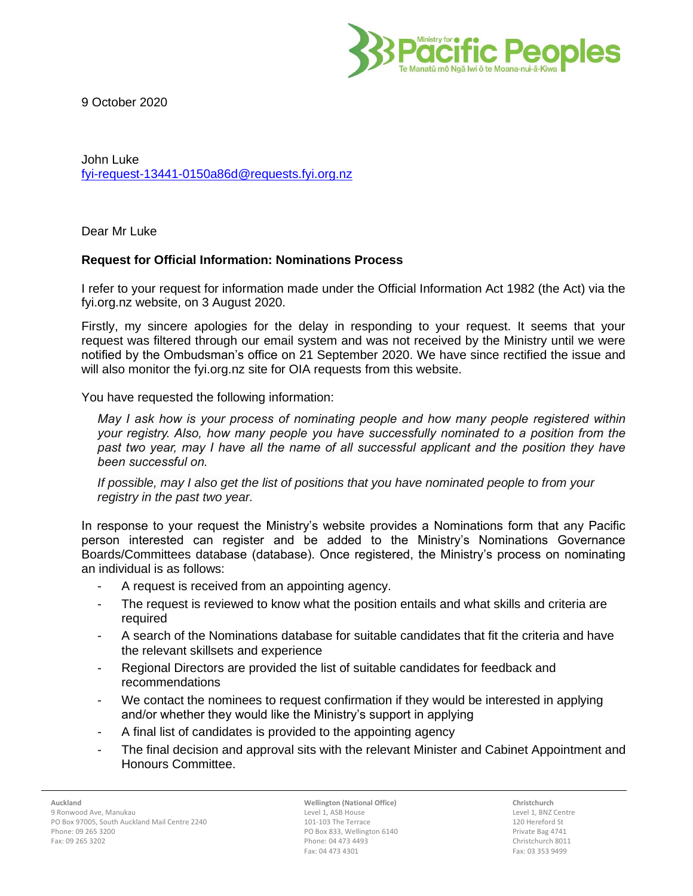

9 October 2020

John Luke [fyi-request-13441-0150a86d@requests.fyi.org.nz](mailto:xxxxxxxxxxxxxxxxxxxxxxxxxx@xxxxxxxx.xxx.xxx.xx)

Dear Mr Luke

## **Request for Official Information: Nominations Process**

I refer to your request for information made under the Official Information Act 1982 (the Act) via the fyi.org.nz website, on 3 August 2020.

Firstly, my sincere apologies for the delay in responding to your request. It seems that your request was filtered through our email system and was not received by the Ministry until we were notified by the Ombudsman's office on 21 September 2020. We have since rectified the issue and will also monitor the fyi.org.nz site for OIA requests from this website.

You have requested the following information:

*May I ask how is your process of nominating people and how many people registered within your registry. Also, how many people you have successfully nominated to a position from the past two year, may I have all the name of all successful applicant and the position they have been successful on.*

*If possible, may I also get the list of positions that you have nominated people to from your registry in the past two year.*

In response to your request the Ministry's website provides a Nominations form that any Pacific person interested can register and be added to the Ministry's Nominations Governance Boards/Committees database (database). Once registered, the Ministry's process on nominating an individual is as follows:

- A request is received from an appointing agency.
- The request is reviewed to know what the position entails and what skills and criteria are required
- A search of the Nominations database for suitable candidates that fit the criteria and have the relevant skillsets and experience
- Regional Directors are provided the list of suitable candidates for feedback and recommendations
- We contact the nominees to request confirmation if they would be interested in applying and/or whether they would like the Ministry's support in applying
- A final list of candidates is provided to the appointing agency
- The final decision and approval sits with the relevant Minister and Cabinet Appointment and Honours Committee.

**Wellington (National Office)** Level 1, ASB House 101-103 The Terrace PO Box 833, Wellington 6140 Phone: 04 473 4493 Fax: 04 473 4301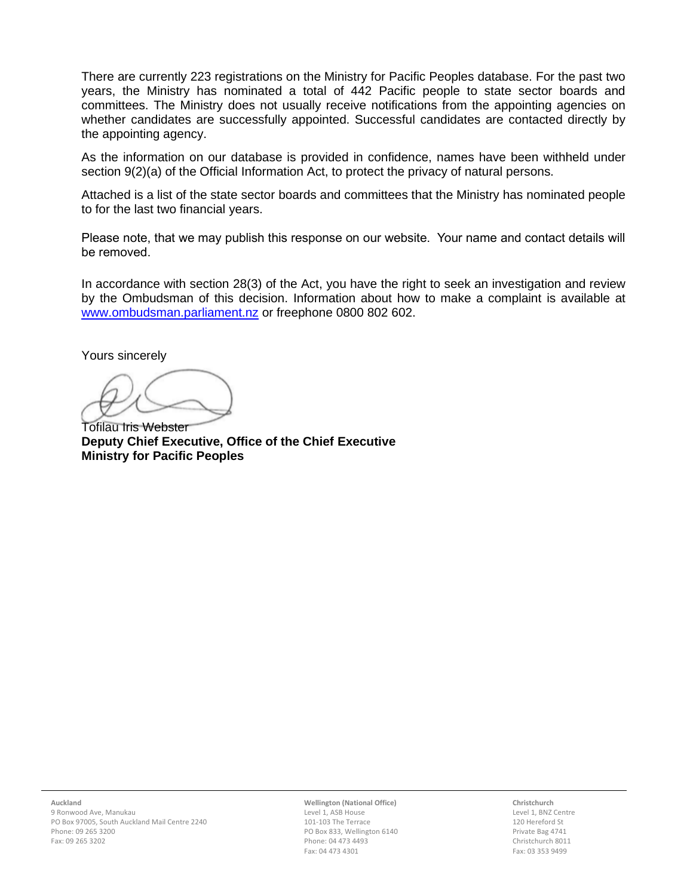There are currently 223 registrations on the Ministry for Pacific Peoples database. For the past two years, the Ministry has nominated a total of 442 Pacific people to state sector boards and committees. The Ministry does not usually receive notifications from the appointing agencies on whether candidates are successfully appointed. Successful candidates are contacted directly by the appointing agency.

As the information on our database is provided in confidence, names have been withheld under section 9(2)(a) of the Official Information Act, to protect the privacy of natural persons.

Attached is a list of the state sector boards and committees that the Ministry has nominated people to for the last two financial years.

Please note, that we may publish this response on our website. Your name and contact details will be removed.

In accordance with section 28(3) of the Act, you have the right to seek an investigation and review by the Ombudsman of this decision. Information about how to make a complaint is available at [www.ombudsman.parliament.nz](http://www.ombudsman.parliament.nz/) or freephone 0800 802 602.

Yours sincerely

Tofilau Iris Webster **Deputy Chief Executive, Office of the Chief Executive Ministry for Pacific Peoples**

**Wellington (National Office)** Level 1, ASB House 101-103 The Terrace PO Box 833, Wellington 6140 Phone: 04 473 4493 Fax: 04 473 4301

**Christchurch** Level 1, BNZ Centre 120 Hereford St Private Bag 4741 Christchurch 8011 Fax: 03 353 9499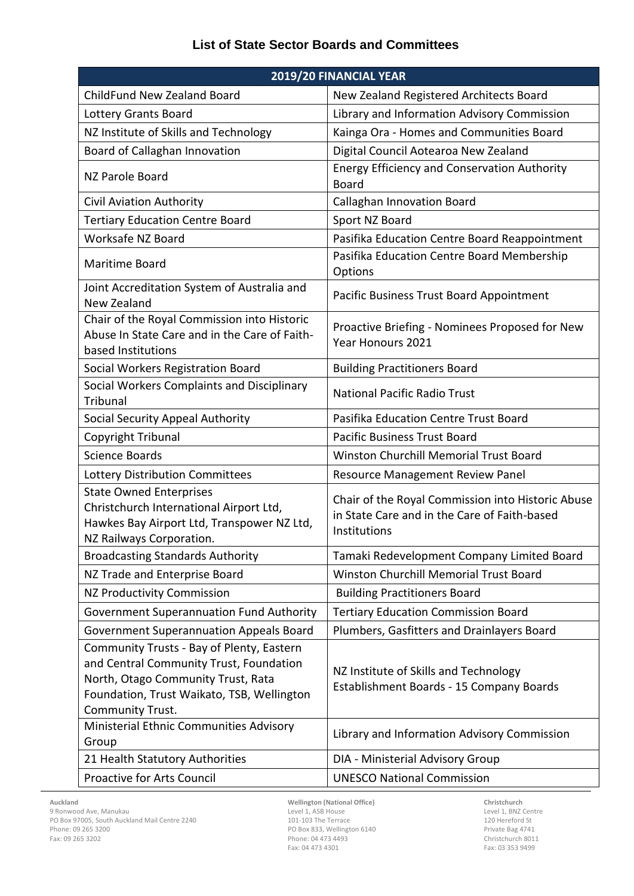## **List of State Sector Boards and Committees**

| 2019/20 FINANCIAL YEAR                                                                                                                                                                       |                                                                                                                   |
|----------------------------------------------------------------------------------------------------------------------------------------------------------------------------------------------|-------------------------------------------------------------------------------------------------------------------|
| ChildFund New Zealand Board                                                                                                                                                                  | New Zealand Registered Architects Board                                                                           |
| <b>Lottery Grants Board</b>                                                                                                                                                                  | Library and Information Advisory Commission                                                                       |
| NZ Institute of Skills and Technology                                                                                                                                                        | Kainga Ora - Homes and Communities Board                                                                          |
| Board of Callaghan Innovation                                                                                                                                                                | Digital Council Aotearoa New Zealand                                                                              |
| NZ Parole Board                                                                                                                                                                              | <b>Energy Efficiency and Conservation Authority</b><br><b>Board</b>                                               |
| <b>Civil Aviation Authority</b>                                                                                                                                                              | <b>Callaghan Innovation Board</b>                                                                                 |
| <b>Tertiary Education Centre Board</b>                                                                                                                                                       | Sport NZ Board                                                                                                    |
| Worksafe NZ Board                                                                                                                                                                            | Pasifika Education Centre Board Reappointment                                                                     |
| Maritime Board                                                                                                                                                                               | Pasifika Education Centre Board Membership<br>Options                                                             |
| Joint Accreditation System of Australia and<br>New Zealand                                                                                                                                   | Pacific Business Trust Board Appointment                                                                          |
| Chair of the Royal Commission into Historic<br>Abuse In State Care and in the Care of Faith-<br>based Institutions                                                                           | Proactive Briefing - Nominees Proposed for New<br>Year Honours 2021                                               |
| Social Workers Registration Board                                                                                                                                                            | <b>Building Practitioners Board</b>                                                                               |
| Social Workers Complaints and Disciplinary<br>Tribunal                                                                                                                                       | <b>National Pacific Radio Trust</b>                                                                               |
| Social Security Appeal Authority                                                                                                                                                             | Pasifika Education Centre Trust Board                                                                             |
| Copyright Tribunal                                                                                                                                                                           | <b>Pacific Business Trust Board</b>                                                                               |
| <b>Science Boards</b>                                                                                                                                                                        | <b>Winston Churchill Memorial Trust Board</b>                                                                     |
| Lottery Distribution Committees                                                                                                                                                              | Resource Management Review Panel                                                                                  |
| <b>State Owned Enterprises</b><br>Christchurch International Airport Ltd,<br>Hawkes Bay Airport Ltd, Transpower NZ Ltd,<br>NZ Railways Corporation.                                          | Chair of the Royal Commission into Historic Abuse<br>in State Care and in the Care of Faith-based<br>Institutions |
| <b>Broadcasting Standards Authority</b>                                                                                                                                                      | Tamaki Redevelopment Company Limited Board                                                                        |
| NZ Trade and Enterprise Board                                                                                                                                                                | Winston Churchill Memorial Trust Board                                                                            |
| <b>NZ Productivity Commission</b>                                                                                                                                                            | <b>Building Practitioners Board</b>                                                                               |
| <b>Government Superannuation Fund Authority</b>                                                                                                                                              | <b>Tertiary Education Commission Board</b>                                                                        |
| <b>Government Superannuation Appeals Board</b>                                                                                                                                               | Plumbers, Gasfitters and Drainlayers Board                                                                        |
| Community Trusts - Bay of Plenty, Eastern<br>and Central Community Trust, Foundation<br>North, Otago Community Trust, Rata<br>Foundation, Trust Waikato, TSB, Wellington<br>Community Trust. | NZ Institute of Skills and Technology<br>Establishment Boards - 15 Company Boards                                 |
| Ministerial Ethnic Communities Advisory<br>Group                                                                                                                                             | Library and Information Advisory Commission                                                                       |
| 21 Health Statutory Authorities                                                                                                                                                              | DIA - Ministerial Advisory Group                                                                                  |
| Proactive for Arts Council                                                                                                                                                                   | <b>UNESCO National Commission</b>                                                                                 |